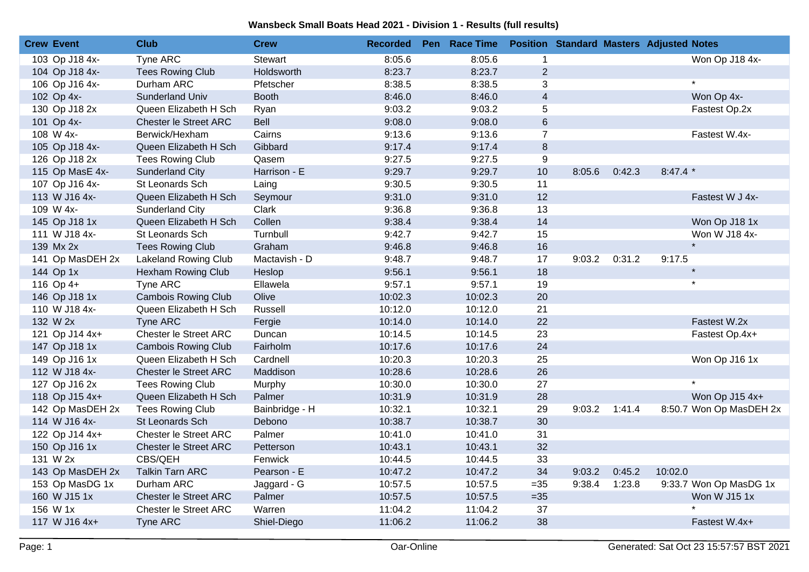## **Wansbeck Small Boats Head 2021 - Division 1 - Results (full results)**

| 8:05.6<br>8:05.6<br>103 Op J18 4x-<br>Tyne ARC<br>Stewart<br>$\mathbf 1$<br>Won Op J18 4x-<br>8:23.7<br>8:23.7<br>$\overline{2}$<br>104 Op J18 4x-<br><b>Tees Rowing Club</b><br>Holdsworth<br>$\star$<br>8:38.5<br>8:38.5<br>3<br>106 Op J16 4x-<br>Durham ARC<br>Pfetscher<br>$\overline{\mathbf{4}}$<br>Won Op 4x-<br>102 Op 4x-<br><b>Sunderland Univ</b><br><b>Booth</b><br>8:46.0<br>8:46.0<br>5<br>9:03.2<br>9:03.2<br>Fastest Op.2x<br>130 Op J18 2x<br>Queen Elizabeth H Sch<br>Ryan<br>$\,6$<br>101 Op 4x-<br>Chester le Street ARC<br><b>Bell</b><br>9:08.0<br>9:08.0<br>$\overline{7}$<br>108 W 4x-<br>Berwick/Hexham<br>Cairns<br>9:13.6<br>9:13.6<br>Fastest W.4x-<br>$\, 8$<br>Gibbard<br>9:17.4<br>9:17.4<br>105 Op J18 4x-<br>Queen Elizabeth H Sch<br>$\boldsymbol{9}$<br>Qasem<br>9:27.5<br>9:27.5<br>126 Op J18 2x<br><b>Tees Rowing Club</b><br>9:29.7<br>10<br>$8:47.4*$<br>Harrison - E<br>9:29.7<br>8:05.6<br>0:42.3<br>115 Op MasE 4x-<br>Sunderland City<br>St Leonards Sch<br>9:30.5<br>9:30.5<br>11<br>107 Op J16 4x-<br>Laing<br>12<br>Fastest W J 4x-<br>113 W J16 4x-<br>Queen Elizabeth H Sch<br>9:31.0<br>9:31.0<br>Seymour | <b>Crew Event</b> | <b>Club</b>     | <b>Crew</b> | <b>Recorded</b> | Pen Race Time |    | <b>Position Standard Masters Adjusted Notes</b> |  |  |
|--------------------------------------------------------------------------------------------------------------------------------------------------------------------------------------------------------------------------------------------------------------------------------------------------------------------------------------------------------------------------------------------------------------------------------------------------------------------------------------------------------------------------------------------------------------------------------------------------------------------------------------------------------------------------------------------------------------------------------------------------------------------------------------------------------------------------------------------------------------------------------------------------------------------------------------------------------------------------------------------------------------------------------------------------------------------------------------------------------------------------------------------------------------|-------------------|-----------------|-------------|-----------------|---------------|----|-------------------------------------------------|--|--|
|                                                                                                                                                                                                                                                                                                                                                                                                                                                                                                                                                                                                                                                                                                                                                                                                                                                                                                                                                                                                                                                                                                                                                              |                   |                 |             |                 |               |    |                                                 |  |  |
|                                                                                                                                                                                                                                                                                                                                                                                                                                                                                                                                                                                                                                                                                                                                                                                                                                                                                                                                                                                                                                                                                                                                                              |                   |                 |             |                 |               |    |                                                 |  |  |
|                                                                                                                                                                                                                                                                                                                                                                                                                                                                                                                                                                                                                                                                                                                                                                                                                                                                                                                                                                                                                                                                                                                                                              |                   |                 |             |                 |               |    |                                                 |  |  |
|                                                                                                                                                                                                                                                                                                                                                                                                                                                                                                                                                                                                                                                                                                                                                                                                                                                                                                                                                                                                                                                                                                                                                              |                   |                 |             |                 |               |    |                                                 |  |  |
|                                                                                                                                                                                                                                                                                                                                                                                                                                                                                                                                                                                                                                                                                                                                                                                                                                                                                                                                                                                                                                                                                                                                                              |                   |                 |             |                 |               |    |                                                 |  |  |
|                                                                                                                                                                                                                                                                                                                                                                                                                                                                                                                                                                                                                                                                                                                                                                                                                                                                                                                                                                                                                                                                                                                                                              |                   |                 |             |                 |               |    |                                                 |  |  |
|                                                                                                                                                                                                                                                                                                                                                                                                                                                                                                                                                                                                                                                                                                                                                                                                                                                                                                                                                                                                                                                                                                                                                              |                   |                 |             |                 |               |    |                                                 |  |  |
|                                                                                                                                                                                                                                                                                                                                                                                                                                                                                                                                                                                                                                                                                                                                                                                                                                                                                                                                                                                                                                                                                                                                                              |                   |                 |             |                 |               |    |                                                 |  |  |
|                                                                                                                                                                                                                                                                                                                                                                                                                                                                                                                                                                                                                                                                                                                                                                                                                                                                                                                                                                                                                                                                                                                                                              |                   |                 |             |                 |               |    |                                                 |  |  |
|                                                                                                                                                                                                                                                                                                                                                                                                                                                                                                                                                                                                                                                                                                                                                                                                                                                                                                                                                                                                                                                                                                                                                              |                   |                 |             |                 |               |    |                                                 |  |  |
|                                                                                                                                                                                                                                                                                                                                                                                                                                                                                                                                                                                                                                                                                                                                                                                                                                                                                                                                                                                                                                                                                                                                                              |                   |                 |             |                 |               |    |                                                 |  |  |
|                                                                                                                                                                                                                                                                                                                                                                                                                                                                                                                                                                                                                                                                                                                                                                                                                                                                                                                                                                                                                                                                                                                                                              |                   |                 |             |                 |               |    |                                                 |  |  |
| 109 W 4x-                                                                                                                                                                                                                                                                                                                                                                                                                                                                                                                                                                                                                                                                                                                                                                                                                                                                                                                                                                                                                                                                                                                                                    |                   | Sunderland City | Clark       | 9:36.8          | 9:36.8        | 13 |                                                 |  |  |
| 14<br>Queen Elizabeth H Sch<br>Collen<br>9:38.4<br>9:38.4<br>Won Op J18 1x<br>145 Op J18 1x                                                                                                                                                                                                                                                                                                                                                                                                                                                                                                                                                                                                                                                                                                                                                                                                                                                                                                                                                                                                                                                                  |                   |                 |             |                 |               |    |                                                 |  |  |
| Turnbull<br>9:42.7<br>9:42.7<br>15<br>111 W J18 4x-<br>St Leonards Sch<br>Won W J18 4x-                                                                                                                                                                                                                                                                                                                                                                                                                                                                                                                                                                                                                                                                                                                                                                                                                                                                                                                                                                                                                                                                      |                   |                 |             |                 |               |    |                                                 |  |  |
| 16<br>139 Mx 2x<br>Graham<br>9:46.8<br><b>Tees Rowing Club</b><br>9:46.8                                                                                                                                                                                                                                                                                                                                                                                                                                                                                                                                                                                                                                                                                                                                                                                                                                                                                                                                                                                                                                                                                     |                   |                 |             |                 |               |    |                                                 |  |  |
| 17<br>9:03.2<br>0:31.2<br>9:17.5<br>141 Op MasDEH 2x<br>Mactavish - D<br>9:48.7<br>9:48.7<br><b>Lakeland Rowing Club</b>                                                                                                                                                                                                                                                                                                                                                                                                                                                                                                                                                                                                                                                                                                                                                                                                                                                                                                                                                                                                                                     |                   |                 |             |                 |               |    |                                                 |  |  |
| 18<br>144 Op 1x<br>9:56.1<br>9:56.1<br><b>Hexham Rowing Club</b><br>Heslop                                                                                                                                                                                                                                                                                                                                                                                                                                                                                                                                                                                                                                                                                                                                                                                                                                                                                                                                                                                                                                                                                   |                   |                 |             |                 |               |    |                                                 |  |  |
| $\star$<br>Tyne ARC<br>Ellawela<br>9:57.1<br>9:57.1<br>19<br>116 Op 4+                                                                                                                                                                                                                                                                                                                                                                                                                                                                                                                                                                                                                                                                                                                                                                                                                                                                                                                                                                                                                                                                                       |                   |                 |             |                 |               |    |                                                 |  |  |
| 10:02.3<br>10:02.3<br>20<br>146 Op J18 1x<br><b>Cambois Rowing Club</b><br>Olive                                                                                                                                                                                                                                                                                                                                                                                                                                                                                                                                                                                                                                                                                                                                                                                                                                                                                                                                                                                                                                                                             |                   |                 |             |                 |               |    |                                                 |  |  |
| 110 W J18 4x-<br>Queen Elizabeth H Sch<br>Russell<br>10:12.0<br>10:12.0<br>21                                                                                                                                                                                                                                                                                                                                                                                                                                                                                                                                                                                                                                                                                                                                                                                                                                                                                                                                                                                                                                                                                |                   |                 |             |                 |               |    |                                                 |  |  |
| 22<br>132 W 2x<br>10:14.0<br>Fastest W.2x<br><b>Tyne ARC</b><br>Fergie<br>10:14.0                                                                                                                                                                                                                                                                                                                                                                                                                                                                                                                                                                                                                                                                                                                                                                                                                                                                                                                                                                                                                                                                            |                   |                 |             |                 |               |    |                                                 |  |  |
| 23<br><b>Chester le Street ARC</b><br>10:14.5<br>10:14.5<br>Fastest Op.4x+<br>121 Op J14 4x+<br>Duncan                                                                                                                                                                                                                                                                                                                                                                                                                                                                                                                                                                                                                                                                                                                                                                                                                                                                                                                                                                                                                                                       |                   |                 |             |                 |               |    |                                                 |  |  |
| 24<br>147 Op J18 1x<br>10:17.6<br>10:17.6<br><b>Cambois Rowing Club</b><br>Fairholm                                                                                                                                                                                                                                                                                                                                                                                                                                                                                                                                                                                                                                                                                                                                                                                                                                                                                                                                                                                                                                                                          |                   |                 |             |                 |               |    |                                                 |  |  |
| 25<br>149 Op J16 1x<br>10:20.3<br>10:20.3<br>Won Op J16 1x<br>Queen Elizabeth H Sch<br>Cardnell                                                                                                                                                                                                                                                                                                                                                                                                                                                                                                                                                                                                                                                                                                                                                                                                                                                                                                                                                                                                                                                              |                   |                 |             |                 |               |    |                                                 |  |  |
| 26<br>112 W J18 4x-<br>10:28.6<br>10:28.6<br><b>Chester le Street ARC</b><br>Maddison                                                                                                                                                                                                                                                                                                                                                                                                                                                                                                                                                                                                                                                                                                                                                                                                                                                                                                                                                                                                                                                                        |                   |                 |             |                 |               |    |                                                 |  |  |
| $\star$<br>27<br>Murphy<br>10:30.0<br>10:30.0<br>127 Op J16 2x<br><b>Tees Rowing Club</b>                                                                                                                                                                                                                                                                                                                                                                                                                                                                                                                                                                                                                                                                                                                                                                                                                                                                                                                                                                                                                                                                    |                   |                 |             |                 |               |    |                                                 |  |  |
| 10:31.9<br>28<br>Won Op J15 4x+<br>118 Op J15 4x+<br>Queen Elizabeth H Sch<br>Palmer<br>10:31.9                                                                                                                                                                                                                                                                                                                                                                                                                                                                                                                                                                                                                                                                                                                                                                                                                                                                                                                                                                                                                                                              |                   |                 |             |                 |               |    |                                                 |  |  |
| 10:32.1<br>10:32.1<br>29<br>9:03.2<br>142 Op MasDEH 2x<br><b>Tees Rowing Club</b><br>Bainbridge - H<br>1:41.4<br>8:50.7 Won Op MasDEH 2x                                                                                                                                                                                                                                                                                                                                                                                                                                                                                                                                                                                                                                                                                                                                                                                                                                                                                                                                                                                                                     |                   |                 |             |                 |               |    |                                                 |  |  |
| 30<br>10:38.7<br>114 W J16 4x-<br>St Leonards Sch<br>Debono<br>10:38.7                                                                                                                                                                                                                                                                                                                                                                                                                                                                                                                                                                                                                                                                                                                                                                                                                                                                                                                                                                                                                                                                                       |                   |                 |             |                 |               |    |                                                 |  |  |
| <b>Chester le Street ARC</b><br>10:41.0<br>10:41.0<br>31<br>122 Op J14 4x+<br>Palmer                                                                                                                                                                                                                                                                                                                                                                                                                                                                                                                                                                                                                                                                                                                                                                                                                                                                                                                                                                                                                                                                         |                   |                 |             |                 |               |    |                                                 |  |  |
| 32<br>150 Op J16 1x<br><b>Chester le Street ARC</b><br>10:43.1<br>10:43.1<br>Petterson                                                                                                                                                                                                                                                                                                                                                                                                                                                                                                                                                                                                                                                                                                                                                                                                                                                                                                                                                                                                                                                                       |                   |                 |             |                 |               |    |                                                 |  |  |
| 131 W 2x<br>CBS/QEH<br>33<br>Fenwick<br>10:44.5<br>10:44.5                                                                                                                                                                                                                                                                                                                                                                                                                                                                                                                                                                                                                                                                                                                                                                                                                                                                                                                                                                                                                                                                                                   |                   |                 |             |                 |               |    |                                                 |  |  |
| 34<br>9:03.2<br>143 Op MasDEH 2x<br><b>Talkin Tarn ARC</b><br>Pearson - E<br>10:47.2<br>10:47.2<br>0:45.2<br>10:02.0                                                                                                                                                                                                                                                                                                                                                                                                                                                                                                                                                                                                                                                                                                                                                                                                                                                                                                                                                                                                                                         |                   |                 |             |                 |               |    |                                                 |  |  |
| 10:57.5<br>$=35$<br>9:38.4<br>1:23.8<br>9:33.7 Won Op MasDG 1x<br>153 Op MasDG 1x<br>Durham ARC<br>Jaggard - G<br>10:57.5                                                                                                                                                                                                                                                                                                                                                                                                                                                                                                                                                                                                                                                                                                                                                                                                                                                                                                                                                                                                                                    |                   |                 |             |                 |               |    |                                                 |  |  |
| 160 W J15 1x<br><b>Chester le Street ARC</b><br>Palmer<br>10:57.5<br>10:57.5<br>$=35$<br>Won W J15 1x                                                                                                                                                                                                                                                                                                                                                                                                                                                                                                                                                                                                                                                                                                                                                                                                                                                                                                                                                                                                                                                        |                   |                 |             |                 |               |    |                                                 |  |  |
| 156 W 1x<br>37<br>Chester le Street ARC<br>Warren<br>11:04.2<br>11:04.2                                                                                                                                                                                                                                                                                                                                                                                                                                                                                                                                                                                                                                                                                                                                                                                                                                                                                                                                                                                                                                                                                      |                   |                 |             |                 |               |    |                                                 |  |  |
| 11:06.2<br>11:06.2<br>38<br>Fastest W.4x+<br>117 W J16 4x+<br><b>Tyne ARC</b><br>Shiel-Diego                                                                                                                                                                                                                                                                                                                                                                                                                                                                                                                                                                                                                                                                                                                                                                                                                                                                                                                                                                                                                                                                 |                   |                 |             |                 |               |    |                                                 |  |  |